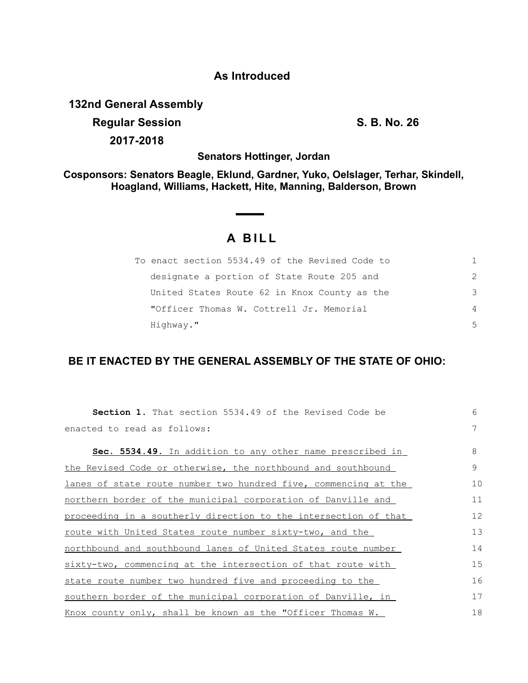## **As Introduced**

**132nd General Assembly Regular Session S. B. No. 26**

**2017-2018**

**Senators Hottinger, Jordan**

**Cosponsors: Senators Beagle, Eklund, Gardner, Yuko, Oelslager, Terhar, Skindell, Hoagland, Williams, Hackett, Hite, Manning, Balderson, Brown**

## **A B I L L**

| To enact section 5534.49 of the Revised Code to | 1.            |
|-------------------------------------------------|---------------|
| designate a portion of State Route 205 and      | $\mathcal{P}$ |
| United States Route 62 in Knox County as the    | 3             |
| "Officer Thomas W. Cottrell Jr. Memorial        | 4             |
| Highway."                                       | .5            |

## **BE IT ENACTED BY THE GENERAL ASSEMBLY OF THE STATE OF OHIO:**

| <b>Section 1.</b> That section 5534.49 of the Revised Code be    | 6  |
|------------------------------------------------------------------|----|
| enacted to read as follows:                                      | 7  |
| <b>Sec. 5534.49.</b> In addition to any other name prescribed in | 8  |
| the Revised Code or otherwise, the northbound and southbound     | 9  |
| lanes of state route number two hundred five, commencing at the  | 10 |
| northern border of the municipal corporation of Danville and     | 11 |
| proceeding in a southerly direction to the intersection of that  | 12 |
| <u>route with United States route number sixty-two, and the</u>  | 13 |
| northbound and southbound lanes of United States route number    | 14 |
| sixty-two, commencing at the intersection of that route with     | 15 |
| state route number two hundred five and proceeding to the        | 16 |
| southern border of the municipal corporation of Danville, in     | 17 |
| Knox county only, shall be known as the "Officer Thomas W.       | 18 |